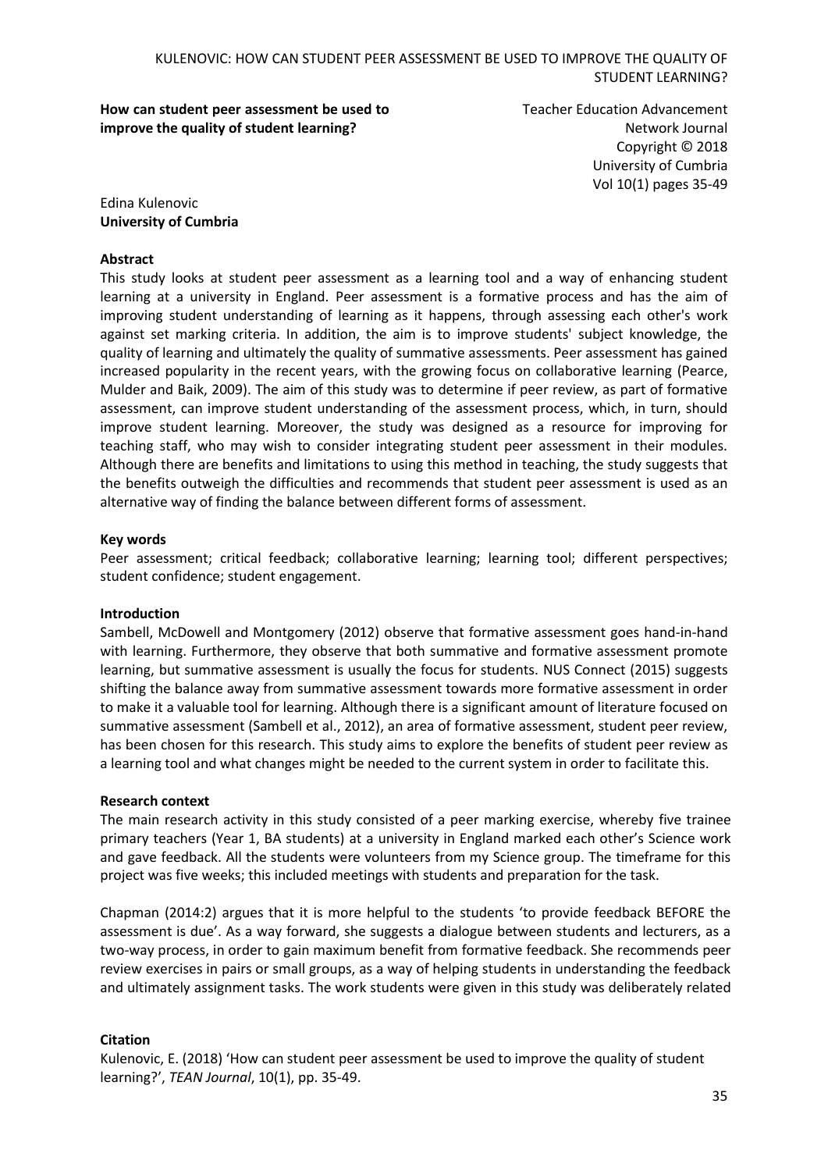**How can student peer assessment be used to improve the quality of student learning?**

Teacher Education Advancement Network Journal Copyright © 2018 University of Cumbria Vol 10(1) pages 35-49

Edina Kulenovic **University of Cumbria**

### **Abstract**

This study looks at student peer assessment as a learning tool and a way of enhancing student learning at a university in England. Peer assessment is a formative process and has the aim of improving student understanding of learning as it happens, through assessing each other's work against set marking criteria. In addition, the aim is to improve students' subject knowledge, the quality of learning and ultimately the quality of summative assessments. Peer assessment has gained increased popularity in the recent years, with the growing focus on collaborative learning (Pearce, Mulder and Baik, 2009). The aim of this study was to determine if peer review, as part of formative assessment, can improve student understanding of the assessment process, which, in turn, should improve student learning. Moreover, the study was designed as a resource for improving for teaching staff, who may wish to consider integrating student peer assessment in their modules. Although there are benefits and limitations to using this method in teaching, the study suggests that the benefits outweigh the difficulties and recommends that student peer assessment is used as an alternative way of finding the balance between different forms of assessment.

### **Key words**

Peer assessment; critical feedback; collaborative learning; learning tool; different perspectives; student confidence; student engagement.

#### **Introduction**

Sambell, McDowell and Montgomery (2012) observe that formative assessment goes hand-in-hand with learning. Furthermore, they observe that both summative and formative assessment promote learning, but summative assessment is usually the focus for students. NUS Connect (2015) suggests shifting the balance away from summative assessment towards more formative assessment in order to make it a valuable tool for learning. Although there is a significant amount of literature focused on summative assessment (Sambell et al., 2012), an area of formative assessment, student peer review, has been chosen for this research. This study aims to explore the benefits of student peer review as a learning tool and what changes might be needed to the current system in order to facilitate this.

### **Research context**

The main research activity in this study consisted of a peer marking exercise, whereby five trainee primary teachers (Year 1, BA students) at a university in England marked each other's Science work and gave feedback. All the students were volunteers from my Science group. The timeframe for this project was five weeks; this included meetings with students and preparation for the task.

Chapman (2014:2) argues that it is more helpful to the students 'to provide feedback BEFORE the assessment is due'. As a way forward, she suggests a dialogue between students and lecturers, as a two-way process, in order to gain maximum benefit from formative feedback. She recommends peer review exercises in pairs or small groups, as a way of helping students in understanding the feedback and ultimately assignment tasks. The work students were given in this study was deliberately related

### **Citation**

Kulenovic, E. (2018) 'How can student peer assessment be used to improve the quality of student learning?', *TEAN Journal*, 10(1), pp. 35-49.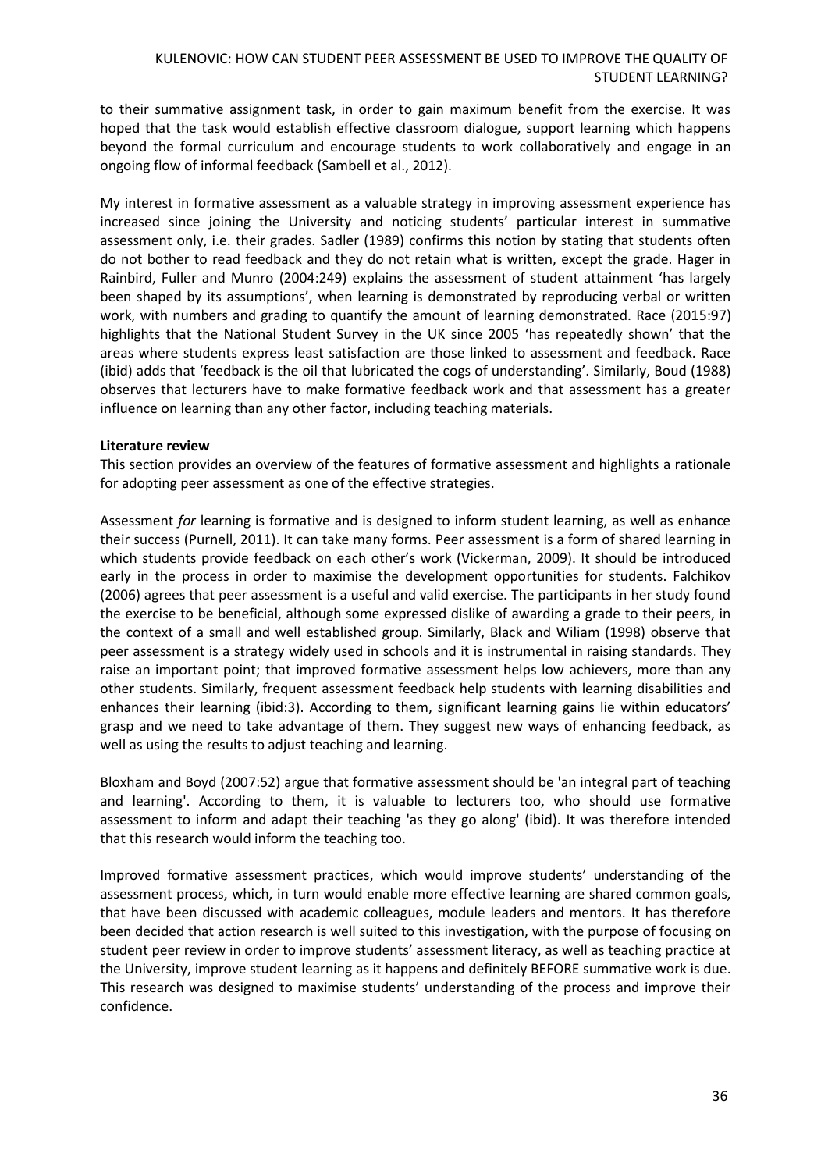to their summative assignment task, in order to gain maximum benefit from the exercise. It was hoped that the task would establish effective classroom dialogue, support learning which happens beyond the formal curriculum and encourage students to work collaboratively and engage in an ongoing flow of informal feedback (Sambell et al., 2012).

My interest in formative assessment as a valuable strategy in improving assessment experience has increased since joining the University and noticing students' particular interest in summative assessment only, i.e. their grades. Sadler (1989) confirms this notion by stating that students often do not bother to read feedback and they do not retain what is written, except the grade. Hager in Rainbird, Fuller and Munro (2004:249) explains the assessment of student attainment 'has largely been shaped by its assumptions', when learning is demonstrated by reproducing verbal or written work, with numbers and grading to quantify the amount of learning demonstrated. Race (2015:97) highlights that the National Student Survey in the UK since 2005 'has repeatedly shown' that the areas where students express least satisfaction are those linked to assessment and feedback. Race (ibid) adds that 'feedback is the oil that lubricated the cogs of understanding'. Similarly, Boud (1988) observes that lecturers have to make formative feedback work and that assessment has a greater influence on learning than any other factor, including teaching materials.

### **Literature review**

This section provides an overview of the features of formative assessment and highlights a rationale for adopting peer assessment as one of the effective strategies.

Assessment *for* learning is formative and is designed to inform student learning, as well as enhance their success (Purnell, 2011). It can take many forms. Peer assessment is a form of shared learning in which students provide feedback on each other's work (Vickerman, 2009). It should be introduced early in the process in order to maximise the development opportunities for students. Falchikov (2006) agrees that peer assessment is a useful and valid exercise. The participants in her study found the exercise to be beneficial, although some expressed dislike of awarding a grade to their peers, in the context of a small and well established group. Similarly, Black and Wiliam (1998) observe that peer assessment is a strategy widely used in schools and it is instrumental in raising standards. They raise an important point; that improved formative assessment helps low achievers, more than any other students. Similarly, frequent assessment feedback help students with learning disabilities and enhances their learning (ibid:3). According to them, significant learning gains lie within educators' grasp and we need to take advantage of them. They suggest new ways of enhancing feedback, as well as using the results to adjust teaching and learning.

Bloxham and Boyd (2007:52) argue that formative assessment should be 'an integral part of teaching and learning'. According to them, it is valuable to lecturers too, who should use formative assessment to inform and adapt their teaching 'as they go along' (ibid). It was therefore intended that this research would inform the teaching too.

Improved formative assessment practices, which would improve students' understanding of the assessment process, which, in turn would enable more effective learning are shared common goals, that have been discussed with academic colleagues, module leaders and mentors. It has therefore been decided that action research is well suited to this investigation, with the purpose of focusing on student peer review in order to improve students' assessment literacy, as well as teaching practice at the University, improve student learning as it happens and definitely BEFORE summative work is due. This research was designed to maximise students' understanding of the process and improve their confidence.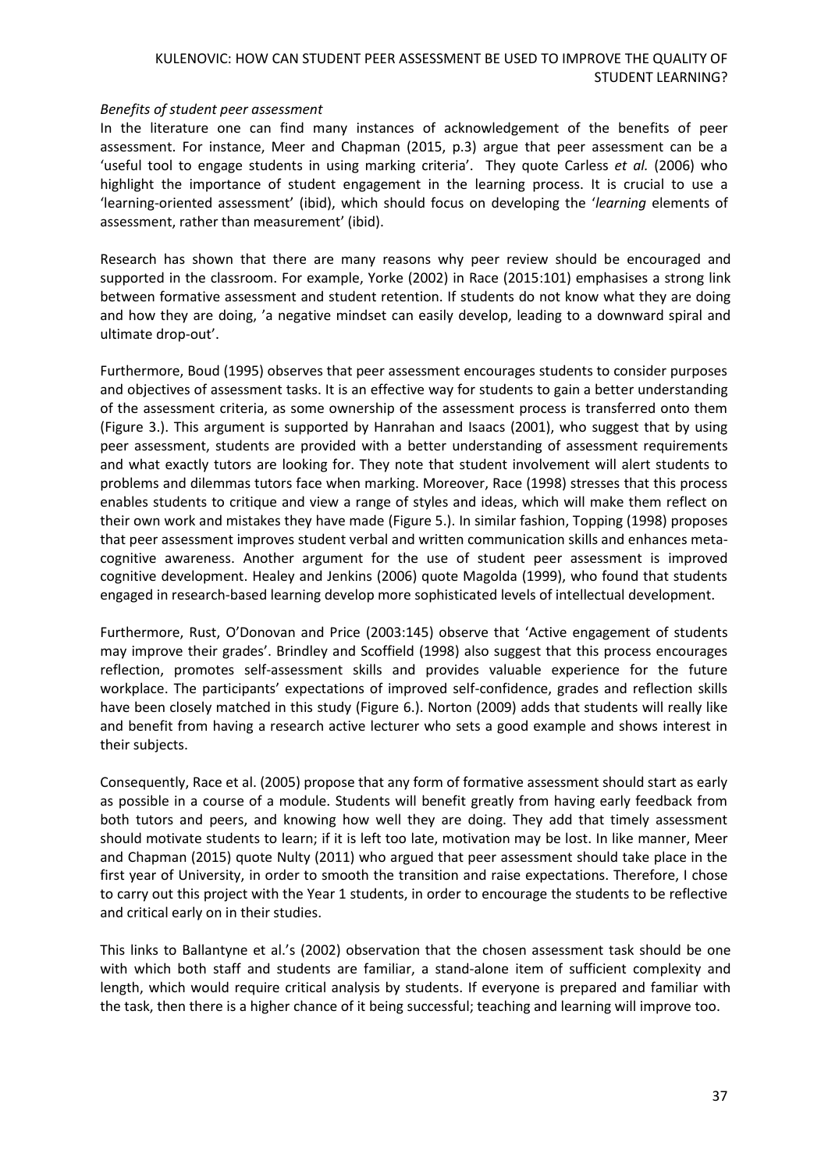### *Benefits of student peer assessment*

In the literature one can find many instances of acknowledgement of the benefits of peer assessment. For instance, Meer and Chapman (2015, p.3) argue that peer assessment can be a 'useful tool to engage students in using marking criteria'. They quote Carless *et al.* (2006) who highlight the importance of student engagement in the learning process. It is crucial to use a 'learning-oriented assessment' (ibid), which should focus on developing the '*learning* elements of assessment, rather than measurement' (ibid).

Research has shown that there are many reasons why peer review should be encouraged and supported in the classroom. For example, Yorke (2002) in Race (2015:101) emphasises a strong link between formative assessment and student retention. If students do not know what they are doing and how they are doing, 'a negative mindset can easily develop, leading to a downward spiral and ultimate drop-out'.

Furthermore, Boud (1995) observes that peer assessment encourages students to consider purposes and objectives of assessment tasks. It is an effective way for students to gain a better understanding of the assessment criteria, as some ownership of the assessment process is transferred onto them (Figure 3.). This argument is supported by Hanrahan and Isaacs (2001), who suggest that by using peer assessment, students are provided with a better understanding of assessment requirements and what exactly tutors are looking for. They note that student involvement will alert students to problems and dilemmas tutors face when marking. Moreover, Race (1998) stresses that this process enables students to critique and view a range of styles and ideas, which will make them reflect on their own work and mistakes they have made (Figure 5.). In similar fashion, Topping (1998) proposes that peer assessment improves student verbal and written communication skills and enhances metacognitive awareness. Another argument for the use of student peer assessment is improved cognitive development. Healey and Jenkins (2006) quote Magolda (1999), who found that students engaged in research-based learning develop more sophisticated levels of intellectual development.

Furthermore, Rust, O'Donovan and Price (2003:145) observe that 'Active engagement of students may improve their grades'. Brindley and Scoffield (1998) also suggest that this process encourages reflection, promotes self-assessment skills and provides valuable experience for the future workplace. The participants' expectations of improved self-confidence, grades and reflection skills have been closely matched in this study (Figure 6.). Norton (2009) adds that students will really like and benefit from having a research active lecturer who sets a good example and shows interest in their subjects.

Consequently, Race et al. (2005) propose that any form of formative assessment should start as early as possible in a course of a module. Students will benefit greatly from having early feedback from both tutors and peers, and knowing how well they are doing. They add that timely assessment should motivate students to learn; if it is left too late, motivation may be lost. In like manner, Meer and Chapman (2015) quote Nulty (2011) who argued that peer assessment should take place in the first year of University, in order to smooth the transition and raise expectations. Therefore, I chose to carry out this project with the Year 1 students, in order to encourage the students to be reflective and critical early on in their studies.

This links to Ballantyne et al.'s (2002) observation that the chosen assessment task should be one with which both staff and students are familiar, a stand-alone item of sufficient complexity and length, which would require critical analysis by students. If everyone is prepared and familiar with the task, then there is a higher chance of it being successful; teaching and learning will improve too.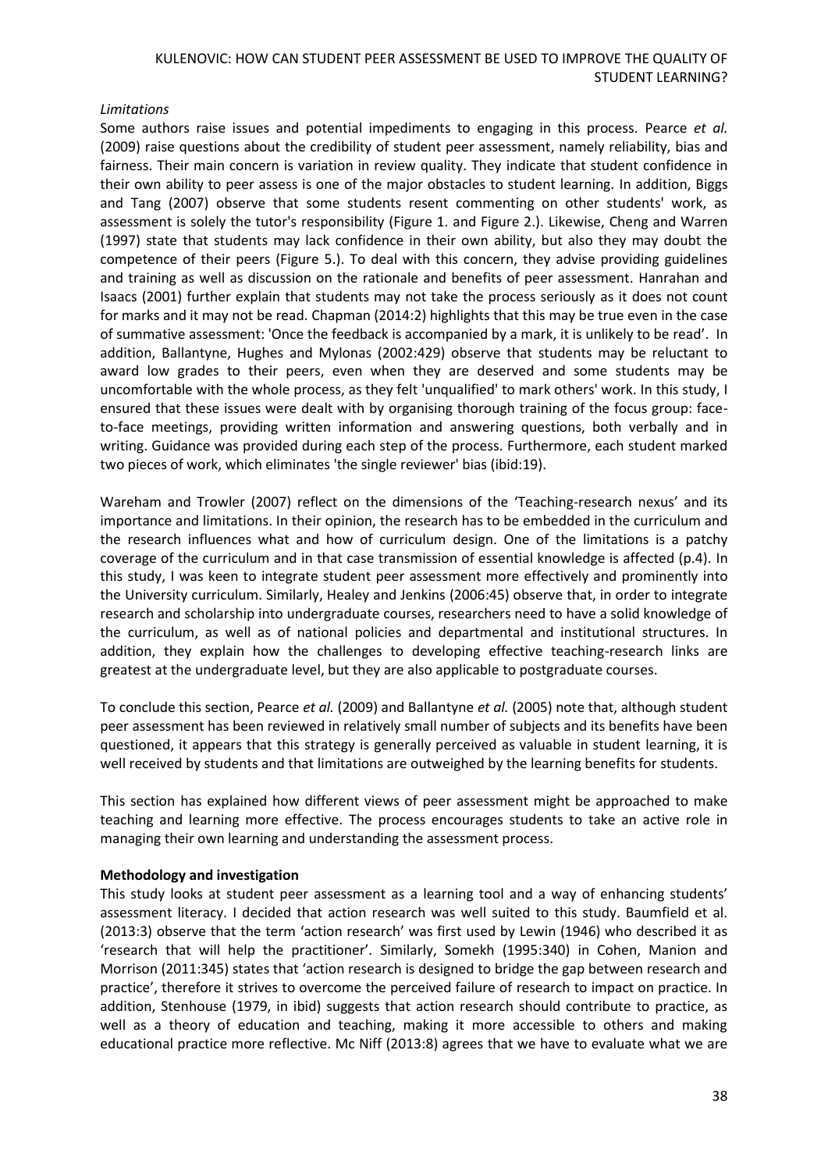### *Limitations*

Some authors raise issues and potential impediments to engaging in this process. Pearce *et al.* (2009) raise questions about the credibility of student peer assessment, namely reliability, bias and fairness. Their main concern is variation in review quality. They indicate that student confidence in their own ability to peer assess is one of the major obstacles to student learning. In addition, Biggs and Tang (2007) observe that some students resent commenting on other students' work, as assessment is solely the tutor's responsibility (Figure 1. and Figure 2.). Likewise, Cheng and Warren (1997) state that students may lack confidence in their own ability, but also they may doubt the competence of their peers (Figure 5.). To deal with this concern, they advise providing guidelines and training as well as discussion on the rationale and benefits of peer assessment. Hanrahan and Isaacs (2001) further explain that students may not take the process seriously as it does not count for marks and it may not be read. Chapman (2014:2) highlights that this may be true even in the case of summative assessment: 'Once the feedback is accompanied by a mark, it is unlikely to be read'. In addition, Ballantyne, Hughes and Mylonas (2002:429) observe that students may be reluctant to award low grades to their peers, even when they are deserved and some students may be uncomfortable with the whole process, as they felt 'unqualified' to mark others' work. In this study, I ensured that these issues were dealt with by organising thorough training of the focus group: faceto-face meetings, providing written information and answering questions, both verbally and in writing. Guidance was provided during each step of the process. Furthermore, each student marked two pieces of work, which eliminates 'the single reviewer' bias (ibid:19).

Wareham and Trowler (2007) reflect on the dimensions of the 'Teaching-research nexus' and its importance and limitations. In their opinion, the research has to be embedded in the curriculum and the research influences what and how of curriculum design. One of the limitations is a patchy coverage of the curriculum and in that case transmission of essential knowledge is affected (p.4). In this study, I was keen to integrate student peer assessment more effectively and prominently into the University curriculum. Similarly, Healey and Jenkins (2006:45) observe that, in order to integrate research and scholarship into undergraduate courses, researchers need to have a solid knowledge of the curriculum, as well as of national policies and departmental and institutional structures. In addition, they explain how the challenges to developing effective teaching-research links are greatest at the undergraduate level, but they are also applicable to postgraduate courses.

To conclude this section, Pearce *et al.* (2009) and Ballantyne *et al.* (2005) note that, although student peer assessment has been reviewed in relatively small number of subjects and its benefits have been questioned, it appears that this strategy is generally perceived as valuable in student learning, it is well received by students and that limitations are outweighed by the learning benefits for students.

This section has explained how different views of peer assessment might be approached to make teaching and learning more effective. The process encourages students to take an active role in managing their own learning and understanding the assessment process.

### **Methodology and investigation**

This study looks at student peer assessment as a learning tool and a way of enhancing students' assessment literacy. I decided that action research was well suited to this study. Baumfield et al. (2013:3) observe that the term 'action research' was first used by Lewin (1946) who described it as 'research that will help the practitioner'. Similarly, Somekh (1995:340) in Cohen, Manion and Morrison (2011:345) states that 'action research is designed to bridge the gap between research and practice', therefore it strives to overcome the perceived failure of research to impact on practice. In addition, Stenhouse (1979, in ibid) suggests that action research should contribute to practice, as well as a theory of education and teaching, making it more accessible to others and making educational practice more reflective. Mc Niff (2013:8) agrees that we have to evaluate what we are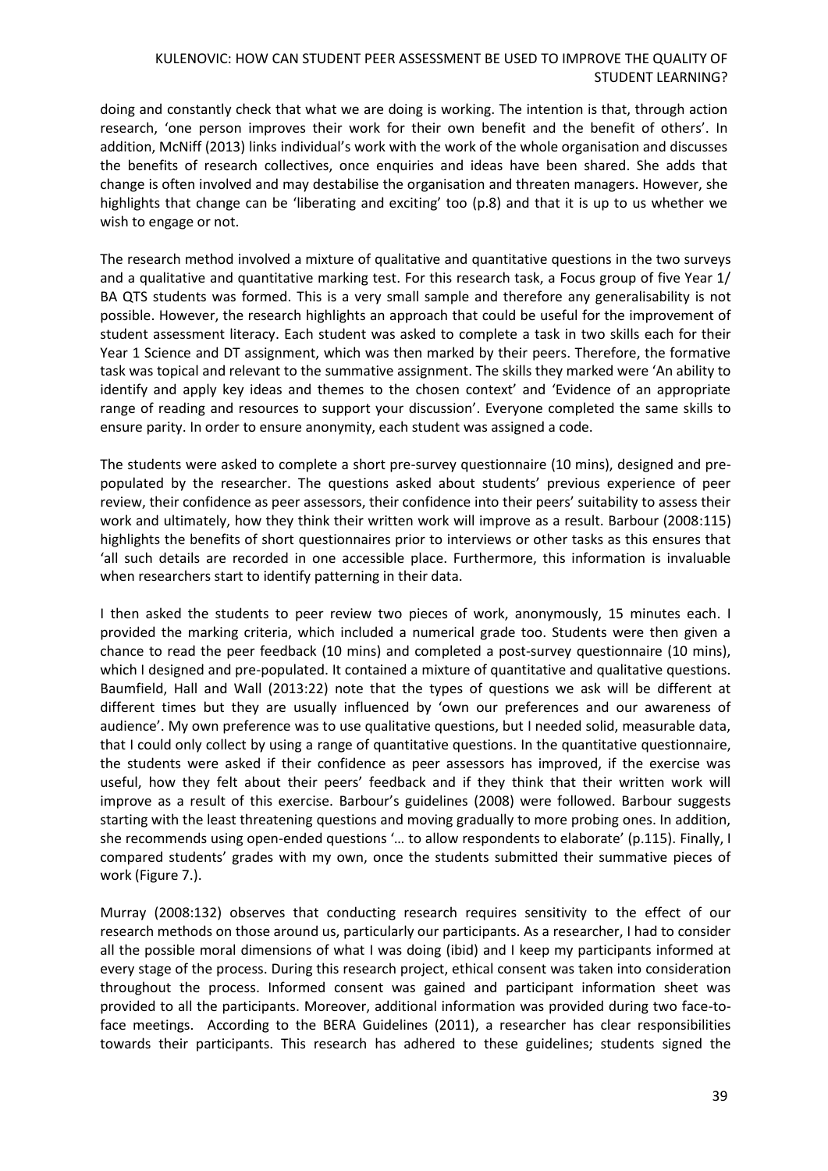doing and constantly check that what we are doing is working. The intention is that, through action research, 'one person improves their work for their own benefit and the benefit of others'. In addition, McNiff (2013) links individual's work with the work of the whole organisation and discusses the benefits of research collectives, once enquiries and ideas have been shared. She adds that change is often involved and may destabilise the organisation and threaten managers. However, she highlights that change can be 'liberating and exciting' too (p.8) and that it is up to us whether we wish to engage or not.

The research method involved a mixture of qualitative and quantitative questions in the two surveys and a qualitative and quantitative marking test. For this research task, a Focus group of five Year 1/ BA QTS students was formed. This is a very small sample and therefore any generalisability is not possible. However, the research highlights an approach that could be useful for the improvement of student assessment literacy. Each student was asked to complete a task in two skills each for their Year 1 Science and DT assignment, which was then marked by their peers. Therefore, the formative task was topical and relevant to the summative assignment. The skills they marked were 'An ability to identify and apply key ideas and themes to the chosen context' and 'Evidence of an appropriate range of reading and resources to support your discussion'. Everyone completed the same skills to ensure parity. In order to ensure anonymity, each student was assigned a code.

The students were asked to complete a short pre-survey questionnaire (10 mins), designed and prepopulated by the researcher. The questions asked about students' previous experience of peer review, their confidence as peer assessors, their confidence into their peers' suitability to assess their work and ultimately, how they think their written work will improve as a result. Barbour (2008:115) highlights the benefits of short questionnaires prior to interviews or other tasks as this ensures that 'all such details are recorded in one accessible place. Furthermore, this information is invaluable when researchers start to identify patterning in their data.

I then asked the students to peer review two pieces of work, anonymously, 15 minutes each. I provided the marking criteria, which included a numerical grade too. Students were then given a chance to read the peer feedback (10 mins) and completed a post-survey questionnaire (10 mins), which I designed and pre-populated. It contained a mixture of quantitative and qualitative questions. Baumfield, Hall and Wall (2013:22) note that the types of questions we ask will be different at different times but they are usually influenced by 'own our preferences and our awareness of audience'. My own preference was to use qualitative questions, but I needed solid, measurable data, that I could only collect by using a range of quantitative questions. In the quantitative questionnaire, the students were asked if their confidence as peer assessors has improved, if the exercise was useful, how they felt about their peers' feedback and if they think that their written work will improve as a result of this exercise. Barbour's guidelines (2008) were followed. Barbour suggests starting with the least threatening questions and moving gradually to more probing ones. In addition, she recommends using open-ended questions '… to allow respondents to elaborate' (p.115). Finally, I compared students' grades with my own, once the students submitted their summative pieces of work (Figure 7.).

Murray (2008:132) observes that conducting research requires sensitivity to the effect of our research methods on those around us, particularly our participants. As a researcher, I had to consider all the possible moral dimensions of what I was doing (ibid) and I keep my participants informed at every stage of the process. During this research project, ethical consent was taken into consideration throughout the process. Informed consent was gained and participant information sheet was provided to all the participants. Moreover, additional information was provided during two face-toface meetings. According to the BERA Guidelines (2011), a researcher has clear responsibilities towards their participants. This research has adhered to these guidelines; students signed the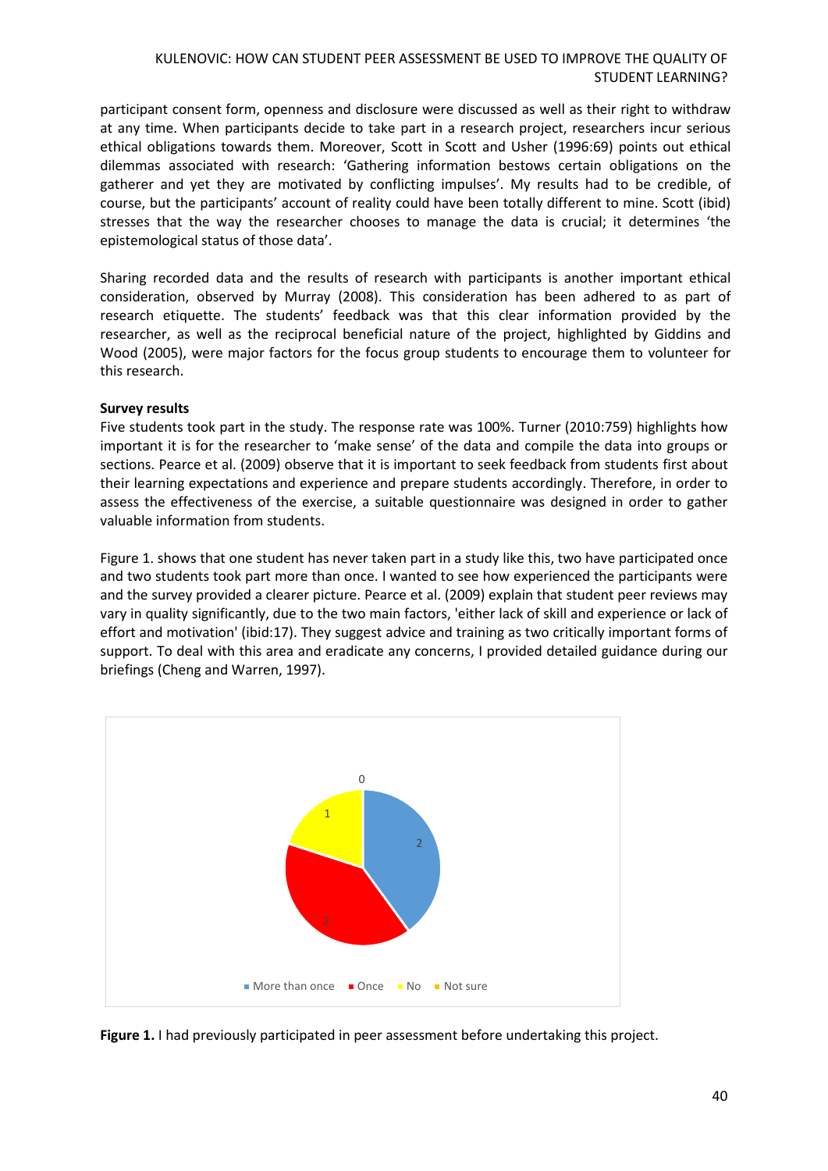participant consent form, openness and disclosure were discussed as well as their right to withdraw at any time. When participants decide to take part in a research project, researchers incur serious ethical obligations towards them. Moreover, Scott in Scott and Usher (1996:69) points out ethical dilemmas associated with research: 'Gathering information bestows certain obligations on the gatherer and yet they are motivated by conflicting impulses'. My results had to be credible, of course, but the participants' account of reality could have been totally different to mine. Scott (ibid) stresses that the way the researcher chooses to manage the data is crucial; it determines 'the epistemological status of those data'.

Sharing recorded data and the results of research with participants is another important ethical consideration, observed by Murray (2008). This consideration has been adhered to as part of research etiquette. The students' feedback was that this clear information provided by the researcher, as well as the reciprocal beneficial nature of the project, highlighted by Giddins and Wood (2005), were major factors for the focus group students to encourage them to volunteer for this research.

### **Survey results**

Five students took part in the study. The response rate was 100%. Turner (2010:759) highlights how important it is for the researcher to 'make sense' of the data and compile the data into groups or sections. Pearce et al. (2009) observe that it is important to seek feedback from students first about their learning expectations and experience and prepare students accordingly. Therefore, in order to assess the effectiveness of the exercise, a suitable questionnaire was designed in order to gather valuable information from students.

Figure 1. shows that one student has never taken part in a study like this, two have participated once and two students took part more than once. I wanted to see how experienced the participants were and the survey provided a clearer picture. Pearce et al. (2009) explain that student peer reviews may vary in quality significantly, due to the two main factors, 'either lack of skill and experience or lack of effort and motivation' (ibid:17). They suggest advice and training as two critically important forms of support. To deal with this area and eradicate any concerns, I provided detailed guidance during our briefings (Cheng and Warren, 1997).



**Figure 1.** I had previously participated in peer assessment before undertaking this project.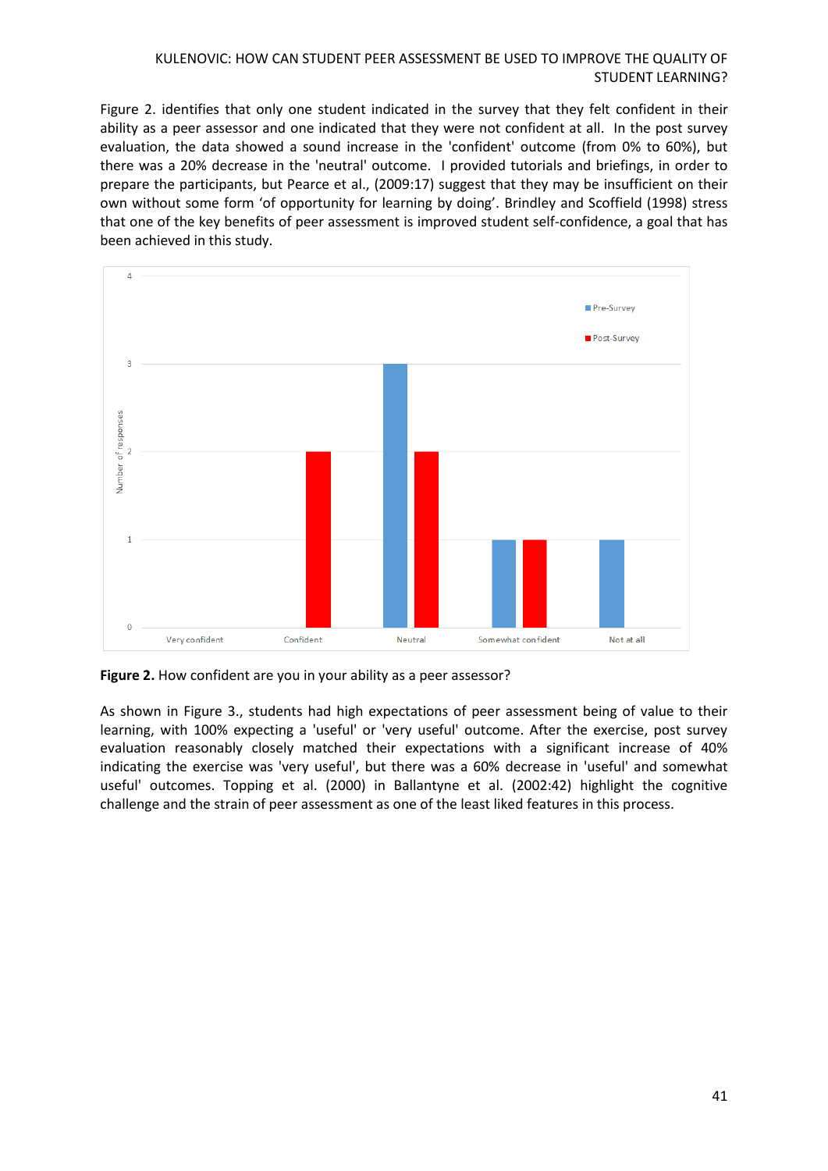Figure 2. identifies that only one student indicated in the survey that they felt confident in their ability as a peer assessor and one indicated that they were not confident at all. In the post survey evaluation, the data showed a sound increase in the 'confident' outcome (from 0% to 60%), but there was a 20% decrease in the 'neutral' outcome. I provided tutorials and briefings, in order to prepare the participants, but Pearce et al., (2009:17) suggest that they may be insufficient on their own without some form 'of opportunity for learning by doing'. Brindley and Scoffield (1998) stress that one of the key benefits of peer assessment is improved student self-confidence, a goal that has been achieved in this study.



**Figure 2.** How confident are you in your ability as a peer assessor?

As shown in Figure 3., students had high expectations of peer assessment being of value to their learning, with 100% expecting a 'useful' or 'very useful' outcome. After the exercise, post survey evaluation reasonably closely matched their expectations with a significant increase of 40% indicating the exercise was 'very useful', but there was a 60% decrease in 'useful' and somewhat useful' outcomes. Topping et al. (2000) in Ballantyne et al. (2002:42) highlight the cognitive challenge and the strain of peer assessment as one of the least liked features in this process.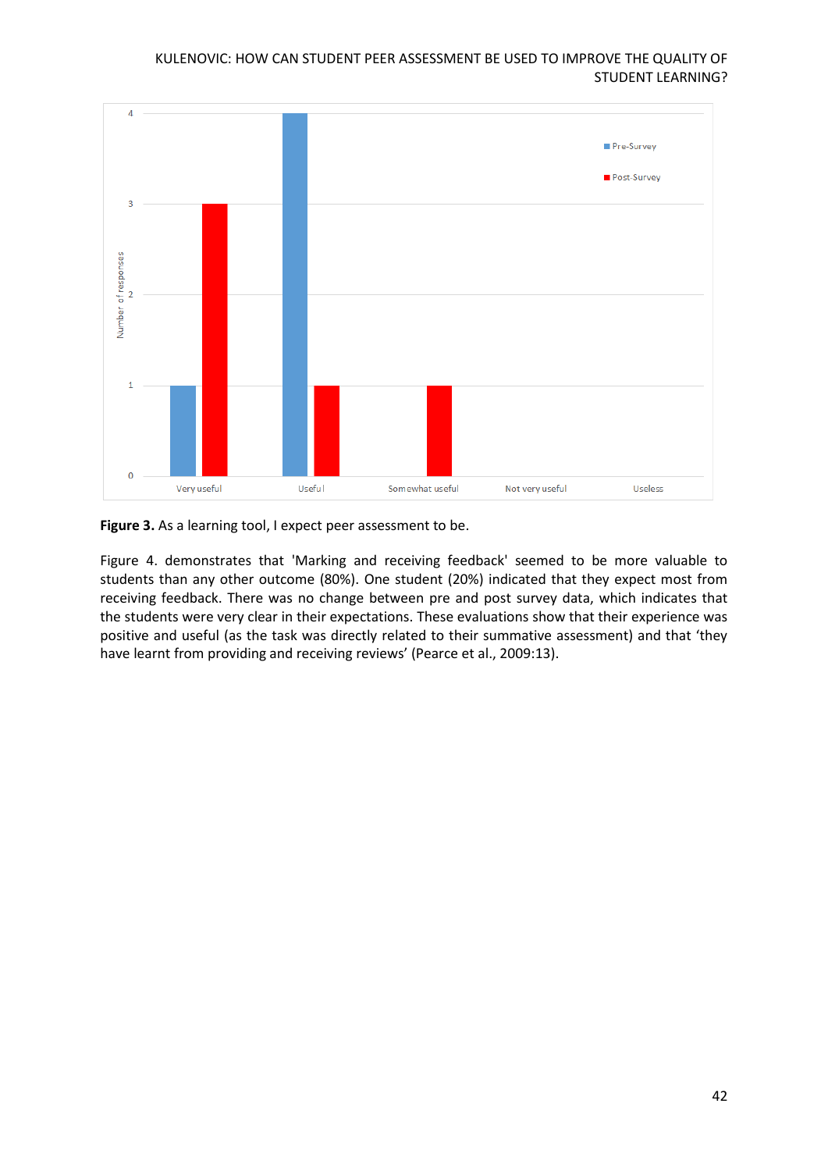

**Figure 3.** As a learning tool, I expect peer assessment to be.

Figure 4. demonstrates that 'Marking and receiving feedback' seemed to be more valuable to students than any other outcome (80%). One student (20%) indicated that they expect most from receiving feedback. There was no change between pre and post survey data, which indicates that the students were very clear in their expectations. These evaluations show that their experience was positive and useful (as the task was directly related to their summative assessment) and that 'they have learnt from providing and receiving reviews' (Pearce et al., 2009:13).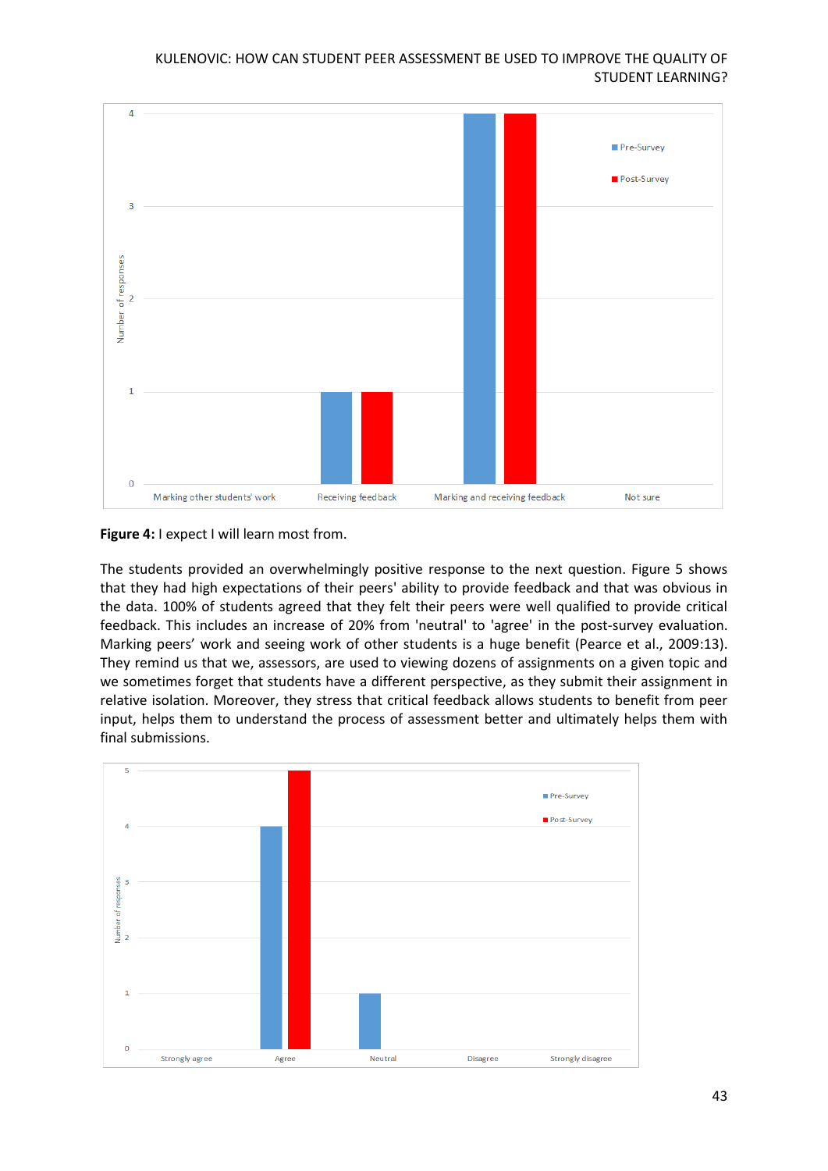

**Figure 4:** I expect I will learn most from.

The students provided an overwhelmingly positive response to the next question. Figure 5 shows that they had high expectations of their peers' ability to provide feedback and that was obvious in the data. 100% of students agreed that they felt their peers were well qualified to provide critical feedback. This includes an increase of 20% from 'neutral' to 'agree' in the post-survey evaluation. Marking peers' work and seeing work of other students is a huge benefit (Pearce et al., 2009:13). They remind us that we, assessors, are used to viewing dozens of assignments on a given topic and we sometimes forget that students have a different perspective, as they submit their assignment in relative isolation. Moreover, they stress that critical feedback allows students to benefit from peer input, helps them to understand the process of assessment better and ultimately helps them with final submissions.

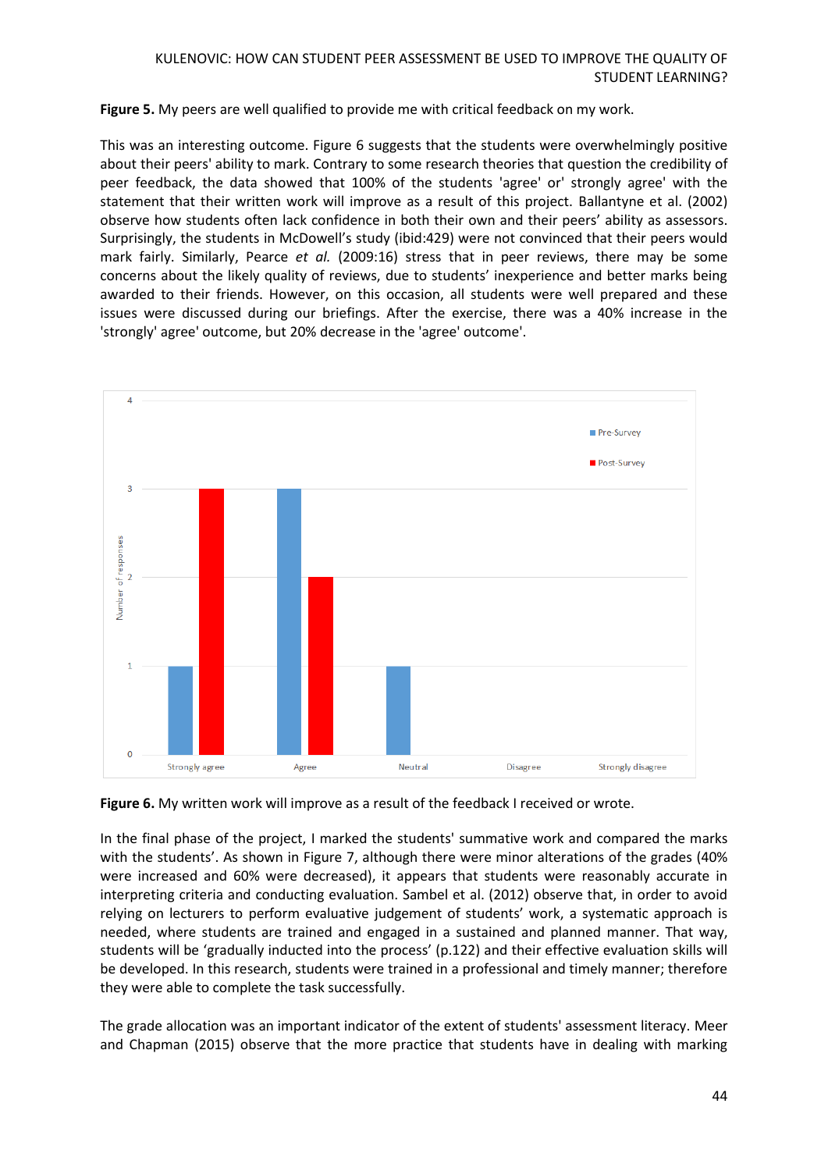**Figure 5.** My peers are well qualified to provide me with critical feedback on my work.

This was an interesting outcome. Figure 6 suggests that the students were overwhelmingly positive about their peers' ability to mark. Contrary to some research theories that question the credibility of peer feedback, the data showed that 100% of the students 'agree' or' strongly agree' with the statement that their written work will improve as a result of this project. Ballantyne et al. (2002) observe how students often lack confidence in both their own and their peers' ability as assessors. Surprisingly, the students in McDowell's study (ibid:429) were not convinced that their peers would mark fairly. Similarly, Pearce *et al.* (2009:16) stress that in peer reviews, there may be some concerns about the likely quality of reviews, due to students' inexperience and better marks being awarded to their friends. However, on this occasion, all students were well prepared and these issues were discussed during our briefings. After the exercise, there was a 40% increase in the 'strongly' agree' outcome, but 20% decrease in the 'agree' outcome'.



**Figure 6.** My written work will improve as a result of the feedback I received or wrote.

In the final phase of the project, I marked the students' summative work and compared the marks with the students'. As shown in Figure 7, although there were minor alterations of the grades (40% were increased and 60% were decreased), it appears that students were reasonably accurate in interpreting criteria and conducting evaluation. Sambel et al. (2012) observe that, in order to avoid relying on lecturers to perform evaluative judgement of students' work, a systematic approach is needed, where students are trained and engaged in a sustained and planned manner. That way, students will be 'gradually inducted into the process' (p.122) and their effective evaluation skills will be developed. In this research, students were trained in a professional and timely manner; therefore they were able to complete the task successfully.

The grade allocation was an important indicator of the extent of students' assessment literacy. Meer and Chapman (2015) observe that the more practice that students have in dealing with marking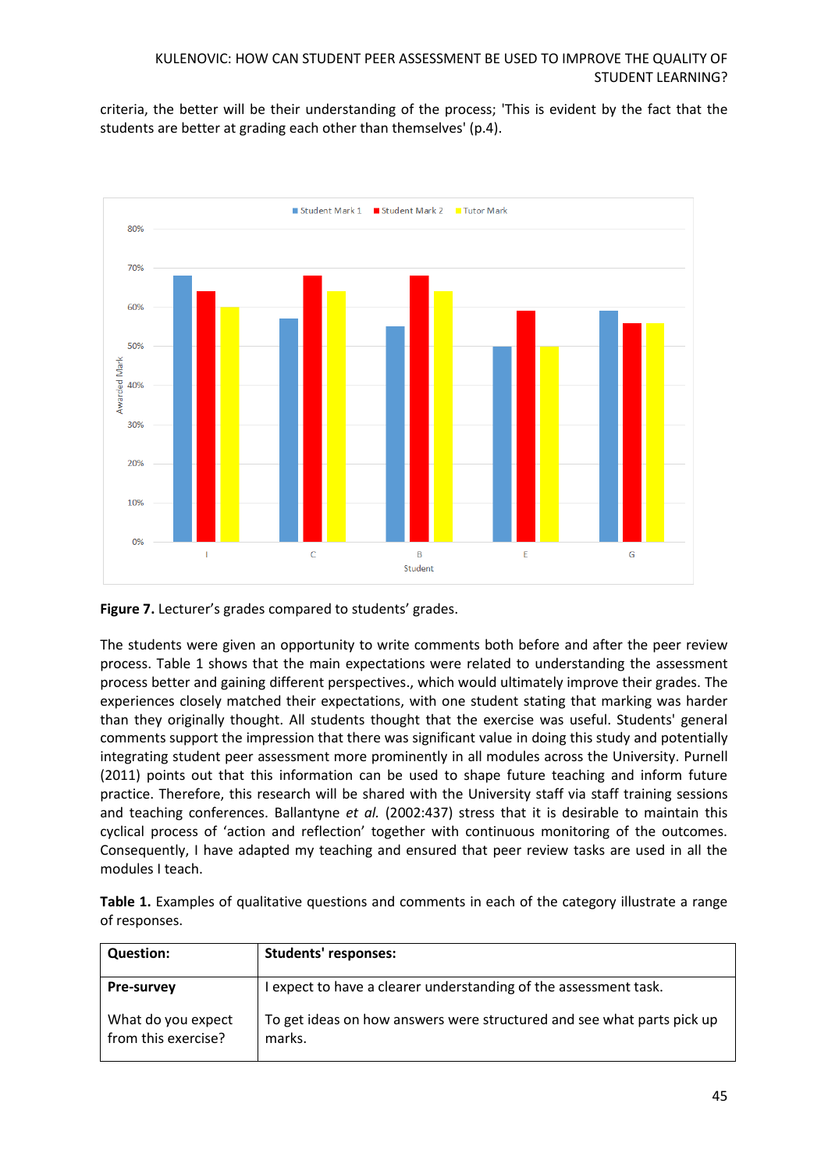criteria, the better will be their understanding of the process; 'This is evident by the fact that the students are better at grading each other than themselves' (p.4).



# **Figure 7.** Lecturer's grades compared to students' grades.

The students were given an opportunity to write comments both before and after the peer review process. Table 1 shows that the main expectations were related to understanding the assessment process better and gaining different perspectives., which would ultimately improve their grades. The experiences closely matched their expectations, with one student stating that marking was harder than they originally thought. All students thought that the exercise was useful. Students' general comments support the impression that there was significant value in doing this study and potentially integrating student peer assessment more prominently in all modules across the University. Purnell (2011) points out that this information can be used to shape future teaching and inform future practice. Therefore, this research will be shared with the University staff via staff training sessions and teaching conferences. Ballantyne *et al.* (2002:437) stress that it is desirable to maintain this cyclical process of 'action and reflection' together with continuous monitoring of the outcomes. Consequently, I have adapted my teaching and ensured that peer review tasks are used in all the modules I teach.

|               | Table 1. Examples of qualitative questions and comments in each of the category illustrate a range |  |  |  |  |
|---------------|----------------------------------------------------------------------------------------------------|--|--|--|--|
| of responses. |                                                                                                    |  |  |  |  |

| <b>Question:</b>                          | <b>Students' responses:</b>                                                      |
|-------------------------------------------|----------------------------------------------------------------------------------|
| <b>Pre-survey</b>                         | I expect to have a clearer understanding of the assessment task.                 |
| What do you expect<br>from this exercise? | To get ideas on how answers were structured and see what parts pick up<br>marks. |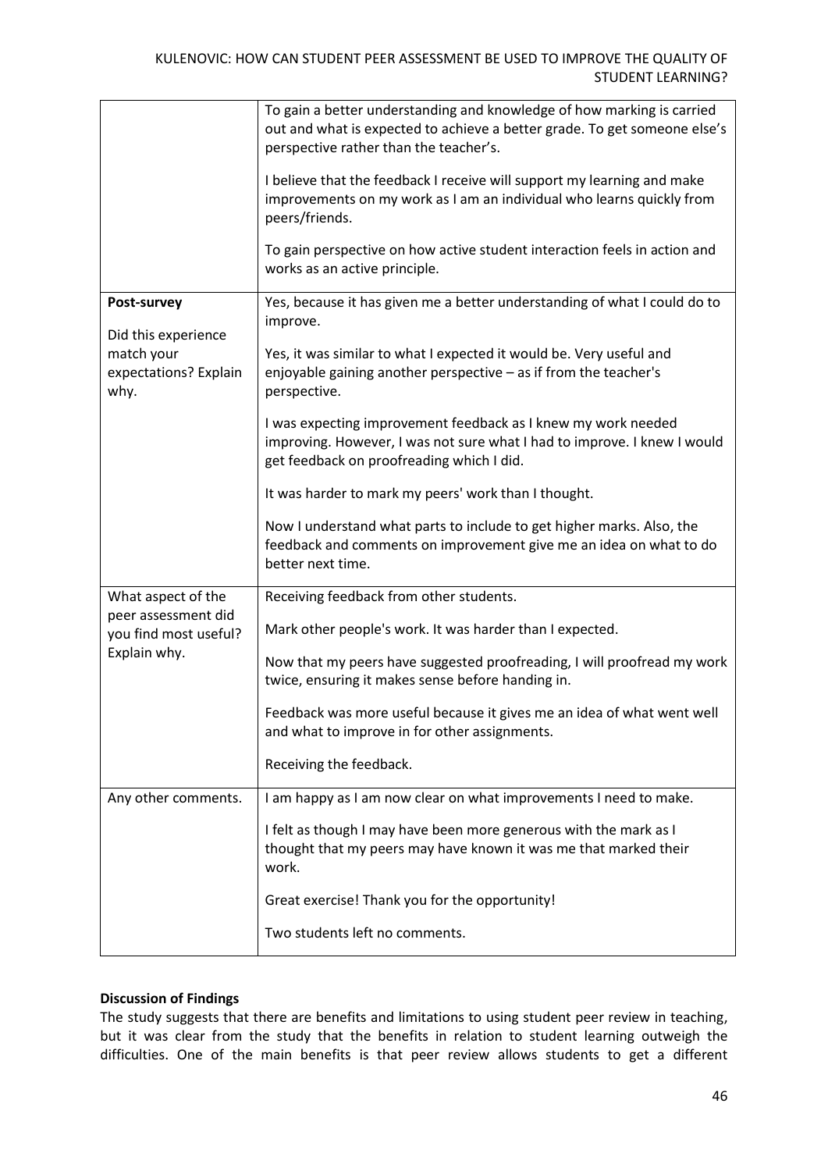|                                             | To gain a better understanding and knowledge of how marking is carried<br>out and what is expected to achieve a better grade. To get someone else's<br>perspective rather than the teacher's.<br>I believe that the feedback I receive will support my learning and make<br>improvements on my work as I am an individual who learns quickly from<br>peers/friends.<br>To gain perspective on how active student interaction feels in action and<br>works as an active principle. |
|---------------------------------------------|-----------------------------------------------------------------------------------------------------------------------------------------------------------------------------------------------------------------------------------------------------------------------------------------------------------------------------------------------------------------------------------------------------------------------------------------------------------------------------------|
| Post-survey<br>Did this experience          | Yes, because it has given me a better understanding of what I could do to<br>improve.                                                                                                                                                                                                                                                                                                                                                                                             |
| match your<br>expectations? Explain<br>why. | Yes, it was similar to what I expected it would be. Very useful and<br>enjoyable gaining another perspective - as if from the teacher's<br>perspective.                                                                                                                                                                                                                                                                                                                           |
|                                             | I was expecting improvement feedback as I knew my work needed<br>improving. However, I was not sure what I had to improve. I knew I would<br>get feedback on proofreading which I did.                                                                                                                                                                                                                                                                                            |
|                                             | It was harder to mark my peers' work than I thought.                                                                                                                                                                                                                                                                                                                                                                                                                              |
|                                             | Now I understand what parts to include to get higher marks. Also, the<br>feedback and comments on improvement give me an idea on what to do<br>better next time.                                                                                                                                                                                                                                                                                                                  |
| What aspect of the<br>peer assessment did   | Receiving feedback from other students.                                                                                                                                                                                                                                                                                                                                                                                                                                           |
| you find most useful?                       | Mark other people's work. It was harder than I expected.                                                                                                                                                                                                                                                                                                                                                                                                                          |
| Explain why.                                | Now that my peers have suggested proofreading, I will proofread my work<br>twice, ensuring it makes sense before handing in.                                                                                                                                                                                                                                                                                                                                                      |
|                                             | Feedback was more useful because it gives me an idea of what went well<br>and what to improve in for other assignments.                                                                                                                                                                                                                                                                                                                                                           |
|                                             | Receiving the feedback.                                                                                                                                                                                                                                                                                                                                                                                                                                                           |
| Any other comments.                         | I am happy as I am now clear on what improvements I need to make.                                                                                                                                                                                                                                                                                                                                                                                                                 |
|                                             | I felt as though I may have been more generous with the mark as I<br>thought that my peers may have known it was me that marked their<br>work.                                                                                                                                                                                                                                                                                                                                    |
|                                             | Great exercise! Thank you for the opportunity!                                                                                                                                                                                                                                                                                                                                                                                                                                    |
|                                             | Two students left no comments.                                                                                                                                                                                                                                                                                                                                                                                                                                                    |

# **Discussion of Findings**

The study suggests that there are benefits and limitations to using student peer review in teaching, but it was clear from the study that the benefits in relation to student learning outweigh the difficulties. One of the main benefits is that peer review allows students to get a different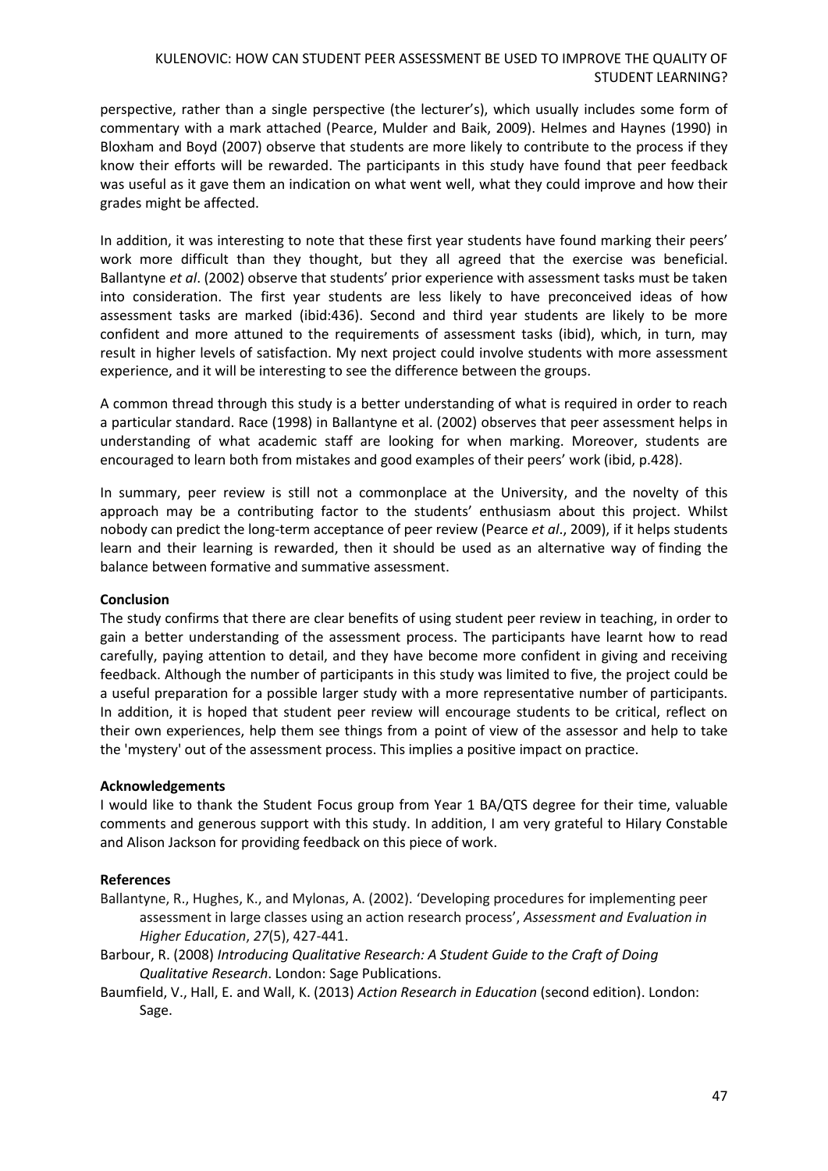perspective, rather than a single perspective (the lecturer's), which usually includes some form of commentary with a mark attached (Pearce, Mulder and Baik, 2009). Helmes and Haynes (1990) in Bloxham and Boyd (2007) observe that students are more likely to contribute to the process if they know their efforts will be rewarded. The participants in this study have found that peer feedback was useful as it gave them an indication on what went well, what they could improve and how their grades might be affected.

In addition, it was interesting to note that these first year students have found marking their peers' work more difficult than they thought, but they all agreed that the exercise was beneficial. Ballantyne *et al*. (2002) observe that students' prior experience with assessment tasks must be taken into consideration. The first year students are less likely to have preconceived ideas of how assessment tasks are marked (ibid:436). Second and third year students are likely to be more confident and more attuned to the requirements of assessment tasks (ibid), which, in turn, may result in higher levels of satisfaction. My next project could involve students with more assessment experience, and it will be interesting to see the difference between the groups.

A common thread through this study is a better understanding of what is required in order to reach a particular standard. Race (1998) in Ballantyne et al. (2002) observes that peer assessment helps in understanding of what academic staff are looking for when marking. Moreover, students are encouraged to learn both from mistakes and good examples of their peers' work (ibid, p.428).

In summary, peer review is still not a commonplace at the University, and the novelty of this approach may be a contributing factor to the students' enthusiasm about this project. Whilst nobody can predict the long-term acceptance of peer review (Pearce *et al*., 2009), if it helps students learn and their learning is rewarded, then it should be used as an alternative way of finding the balance between formative and summative assessment.

### **Conclusion**

The study confirms that there are clear benefits of using student peer review in teaching, in order to gain a better understanding of the assessment process. The participants have learnt how to read carefully, paying attention to detail, and they have become more confident in giving and receiving feedback. Although the number of participants in this study was limited to five, the project could be a useful preparation for a possible larger study with a more representative number of participants. In addition, it is hoped that student peer review will encourage students to be critical, reflect on their own experiences, help them see things from a point of view of the assessor and help to take the 'mystery' out of the assessment process. This implies a positive impact on practice.

### **Acknowledgements**

I would like to thank the Student Focus group from Year 1 BA/QTS degree for their time, valuable comments and generous support with this study. In addition, I am very grateful to Hilary Constable and Alison Jackson for providing feedback on this piece of work.

### **References**

- Ballantyne, R., Hughes, K., and Mylonas, A. (2002). 'Developing procedures for implementing peer assessment in large classes using an action research process', *Assessment and Evaluation in Higher Education*, *27*(5), 427-441.
- Barbour, R. (2008) *Introducing Qualitative Research: A Student Guide to the Craft of Doing Qualitative Research*. London: Sage Publications.
- Baumfield, V., Hall, E. and Wall, K. (2013) *Action Research in Education* (second edition). London: Sage.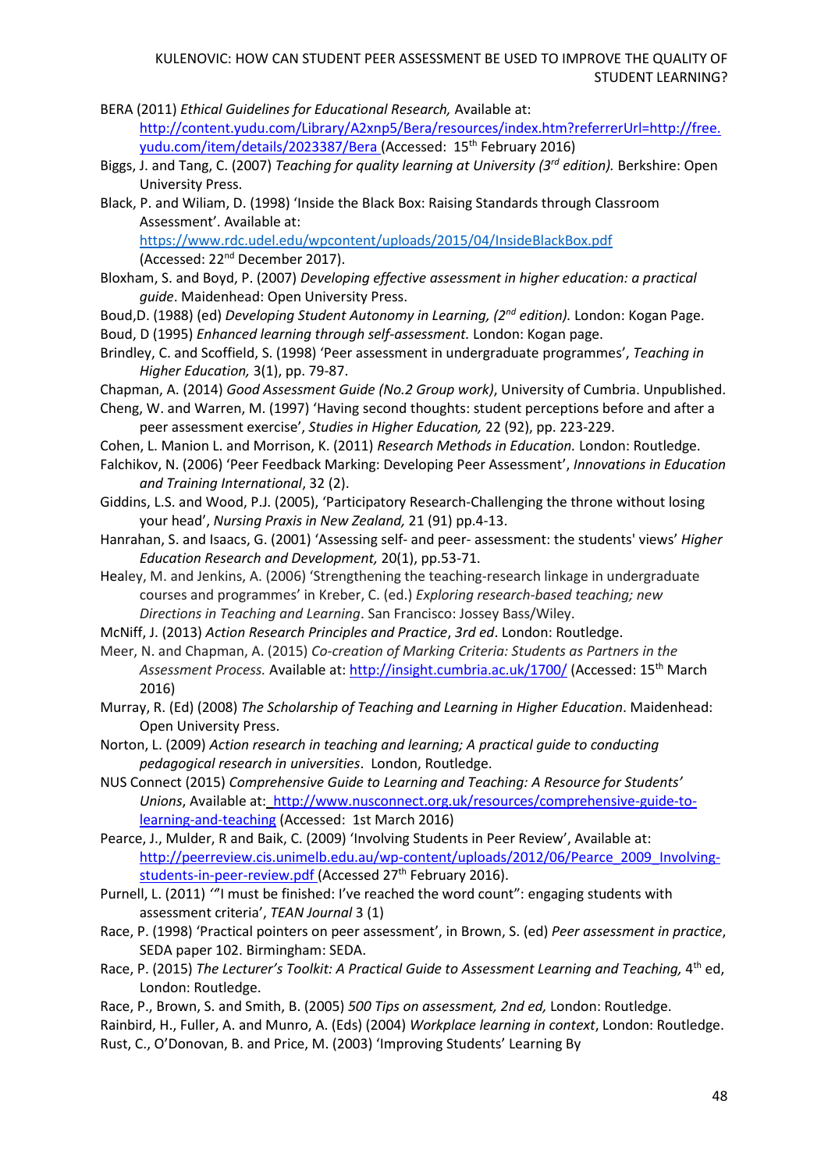- BERA (2011) *Ethical Guidelines for Educational Research,* Available at: http://content.yudu.com/Library/A2xnp5/Bera/resources/index.htm?referrerUrl=http://free. yudu.com/item/details/2023387/Bera (Accessed: 15th February 2016)
- Biggs, J. and Tang, C. (2007) *Teaching for quality learning at University (3rd edition).* Berkshire: Open University Press.
- Black, P. and Wiliam, D. (1998) 'Inside the Black Box: Raising Standards through Classroom Assessment'. Available at:

<https://www.rdc.udel.edu/wpcontent/uploads/2015/04/InsideBlackBox.pdf> (Accessed: 22nd December 2017).

- Bloxham, S. and Boyd, P. (2007) *Developing effective assessment in higher education: a practical guide*. Maidenhead: Open University Press.
- Boud,D. (1988) (ed) *Developing Student Autonomy in Learning, (2nd edition).* London: Kogan Page.
- Boud, D (1995) *Enhanced learning through self-assessment.* London: Kogan page.
- Brindley, C. and Scoffield, S. (1998) 'Peer assessment in undergraduate programmes', *Teaching in Higher Education,* 3(1), pp. 79-87.
- Chapman, A. (2014) *Good Assessment Guide (No.2 Group work)*, University of Cumbria. Unpublished.
- Cheng, W. and Warren, M. (1997) 'Having second thoughts: student perceptions before and after a peer assessment exercise', *Studies in Higher Education,* 22 (92), pp. 223-229.
- Cohen, L. Manion L. and Morrison, K. (2011) *Research Methods in Education.* London: Routledge.
- Falchikov, N. (2006) 'Peer Feedback Marking: Developing Peer Assessment', *Innovations in Education and Training International*, 32 (2).
- Giddins, L.S. and Wood, P.J. (2005), 'Participatory Research-Challenging the throne without losing your head', *Nursing Praxis in New Zealand,* 21 (91) pp.4-13.
- Hanrahan, S. and Isaacs, G. (2001) 'Assessing self- and peer- assessment: the students' views' *Higher Education Research and Development,* 20(1), pp.53-71.
- Healey, M. and Jenkins, A. (2006) 'Strengthening the teaching-research linkage in undergraduate courses and programmes' in Kreber, C. (ed.) *Exploring research-based teaching; new Directions in Teaching and Learning*. San Francisco: Jossey Bass/Wiley.
- McNiff, J. (2013) *Action Research Principles and Practice*, *3rd ed*. London: Routledge.
- Meer, N. and Chapman, A. (2015) *Co-creation of Marking Criteria: Students as Partners in the Assessment Process.* Available at: <http://insight.cumbria.ac.uk/1700/> (Accessed: 15th March 2016)
- Murray, R. (Ed) (2008) *The Scholarship of Teaching and Learning in Higher Education*. Maidenhead: Open University Press.
- Norton, L. (2009) *Action research in teaching and learning; A practical guide to conducting pedagogical research in universities*. London, Routledge.
- NUS Connect (2015) *Comprehensive Guide to Learning and Teaching: A Resource for Students' Unions*, Available at: http://www.nusconnect.org.uk/resources/comprehensive-guide-tolearning-and-teaching (Accessed: 1st March 2016)
- Pearce, J., Mulder, R and Baik, C. (2009) 'Involving Students in Peer Review', Available at: http://peerreview.cis.unimelb.edu.au/wp-content/uploads/2012/06/Pearce\_2009\_Involvingstudents-in-peer-review.pdf (Accessed 27<sup>th</sup> February 2016).
- Purnell, L. (2011) *''*'I must be finished: I've reached the word count": engaging students with assessment criteria', *TEAN Journal* 3 (1)
- Race, P. (1998) 'Practical pointers on peer assessment', in Brown, S. (ed) *Peer assessment in practice*, SEDA paper 102. Birmingham: SEDA.
- Race, P. (2015) *The Lecturer's Toolkit: A Practical Guide to Assessment Learning and Teaching,* 4 th ed, London: Routledge.
- Race, P., Brown, S. and Smith, B. (2005) *500 Tips on assessment, 2nd ed,* London: Routledge.
- Rainbird, H., Fuller, A. and Munro, A. (Eds) (2004) *Workplace learning in context*, London: Routledge. Rust, C., O'Donovan, B. and Price, M. (2003) 'Improving Students' Learning By